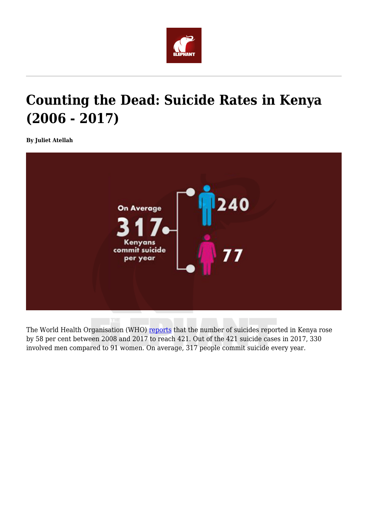

## **Counting the Dead: Suicide Rates in Kenya (2006 - 2017)**

**By Juliet Atellah**



The World Health Organisation (WHO) [reports](http://apps.who.int/gho/data/view.sdg.3-4-data-ctry?lang=en) that the number of suicides reported in Kenya rose by 58 per cent between 2008 and 2017 to reach 421. Out of the 421 suicide cases in 2017, 330 involved men compared to 91 women. On average, 317 people commit suicide every year.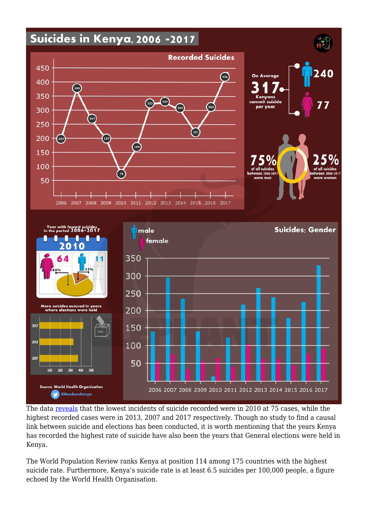

The data [reveals](http://apps.who.int/gho/data/view.sdg.3-4-data-ctry?lang=en) that the lowest incidents of suicide recorded were in 2010 at 75 cases, while the highest recorded cases were in 2013, 2007 and 2017 respectively. Though no study to find a causal link between suicide and elections has been conducted, it is worth mentioning that the years Kenya has recorded the highest rate of suicide have also been the years that General elections were held in Kenya.

The World Population Review ranks Kenya at position 114 among 175 countries with the highest suicide rate. Furthermore, Kenya's suicide rate is at least 6.5 suicides per 100,000 people, a figure echoed by the World Health Organisation.